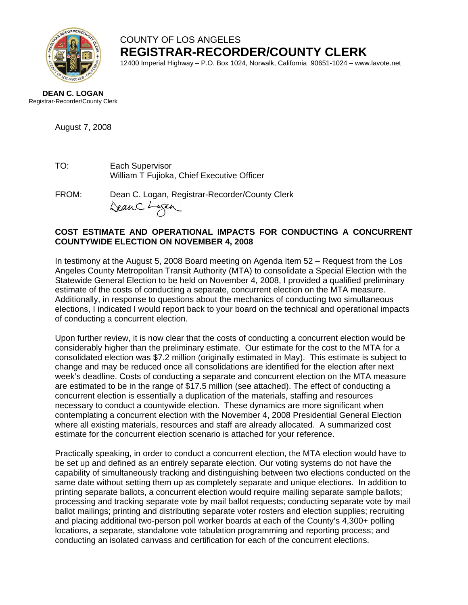

COUNTY OF LOS ANGELES **REGISTRAR-RECORDER/COUNTY CLERK**

12400 Imperial Highway – P.O. Box 1024, Norwalk, California 90651-1024 – www.lavote.net

## **DEAN C. LOGAN** Registrar-Recorder/County Clerk

August 7, 2008

- TO: Each Supervisor William T Fujioka, Chief Executive Officer
- FROM:Dean C. Logan, Registrar-Recorder/County Clerk Dean C. Logan

## **COST ESTIMATE AND OPERATIONAL IMPACTS FOR CONDUCTING A CONCURRENT COUNTYWIDE ELECTION ON NOVEMBER 4, 2008**

In testimony at the August 5, 2008 Board meeting on Agenda Item 52 – Request from the Los Angeles County Metropolitan Transit Authority (MTA) to consolidate a Special Election with the Statewide General Election to be held on November 4, 2008, I provided a qualified preliminary estimate of the costs of conducting a separate, concurrent election on the MTA measure. Additionally, in response to questions about the mechanics of conducting two simultaneous elections, I indicated I would report back to your board on the technical and operational impacts of conducting a concurrent election.

Upon further review, it is now clear that the costs of conducting a concurrent election would be considerably higher than the preliminary estimate. Our estimate for the cost to the MTA for a consolidated election was \$7.2 million (originally estimated in May). This estimate is subject to change and may be reduced once all consolidations are identified for the election after next week's deadline. Costs of conducting a separate and concurrent election on the MTA measure are estimated to be in the range of \$17.5 million (see attached). The effect of conducting a concurrent election is essentially a duplication of the materials, staffing and resources necessary to conduct a countywide election. These dynamics are more significant when contemplating a concurrent election with the November 4, 2008 Presidential General Election where all existing materials, resources and staff are already allocated. A summarized cost estimate for the concurrent election scenario is attached for your reference.

Practically speaking, in order to conduct a concurrent election, the MTA election would have to be set up and defined as an entirely separate election. Our voting systems do not have the capability of simultaneously tracking and distinguishing between two elections conducted on the same date without setting them up as completely separate and unique elections. In addition to printing separate ballots, a concurrent election would require mailing separate sample ballots; processing and tracking separate vote by mail ballot requests; conducting separate vote by mail ballot mailings; printing and distributing separate voter rosters and election supplies; recruiting and placing additional two-person poll worker boards at each of the County's 4,300+ polling locations, a separate, standalone vote tabulation programming and reporting process; and conducting an isolated canvass and certification for each of the concurrent elections.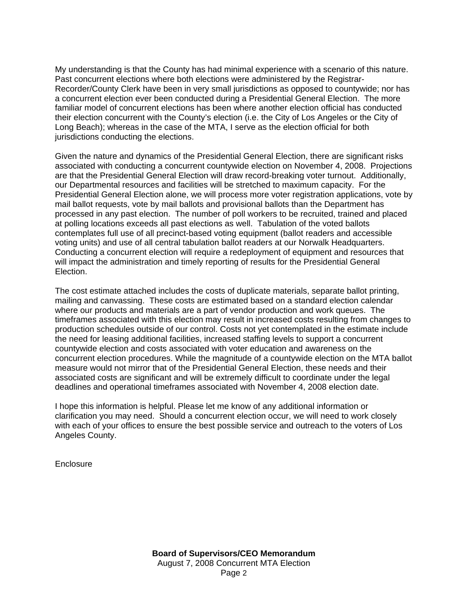My understanding is that the County has had minimal experience with a scenario of this nature. Past concurrent elections where both elections were administered by the Registrar-Recorder/County Clerk have been in very small jurisdictions as opposed to countywide; nor has a concurrent election ever been conducted during a Presidential General Election. The more familiar model of concurrent elections has been where another election official has conducted their election concurrent with the County's election (i.e. the City of Los Angeles or the City of Long Beach); whereas in the case of the MTA, I serve as the election official for both jurisdictions conducting the elections.

Given the nature and dynamics of the Presidential General Election, there are significant risks associated with conducting a concurrent countywide election on November 4, 2008. Projections are that the Presidential General Election will draw record-breaking voter turnout. Additionally, our Departmental resources and facilities will be stretched to maximum capacity. For the Presidential General Election alone, we will process more voter registration applications, vote by mail ballot requests, vote by mail ballots and provisional ballots than the Department has processed in any past election. The number of poll workers to be recruited, trained and placed at polling locations exceeds all past elections as well. Tabulation of the voted ballots contemplates full use of all precinct-based voting equipment (ballot readers and accessible voting units) and use of all central tabulation ballot readers at our Norwalk Headquarters. Conducting a concurrent election will require a redeployment of equipment and resources that will impact the administration and timely reporting of results for the Presidential General Election.

The cost estimate attached includes the costs of duplicate materials, separate ballot printing, mailing and canvassing. These costs are estimated based on a standard election calendar where our products and materials are a part of vendor production and work queues. The timeframes associated with this election may result in increased costs resulting from changes to production schedules outside of our control. Costs not yet contemplated in the estimate include the need for leasing additional facilities, increased staffing levels to support a concurrent countywide election and costs associated with voter education and awareness on the concurrent election procedures. While the magnitude of a countywide election on the MTA ballot measure would not mirror that of the Presidential General Election, these needs and their associated costs are significant and will be extremely difficult to coordinate under the legal deadlines and operational timeframes associated with November 4, 2008 election date.

I hope this information is helpful. Please let me know of any additional information or clarification you may need. Should a concurrent election occur, we will need to work closely with each of your offices to ensure the best possible service and outreach to the voters of Los Angeles County.

**Enclosure**